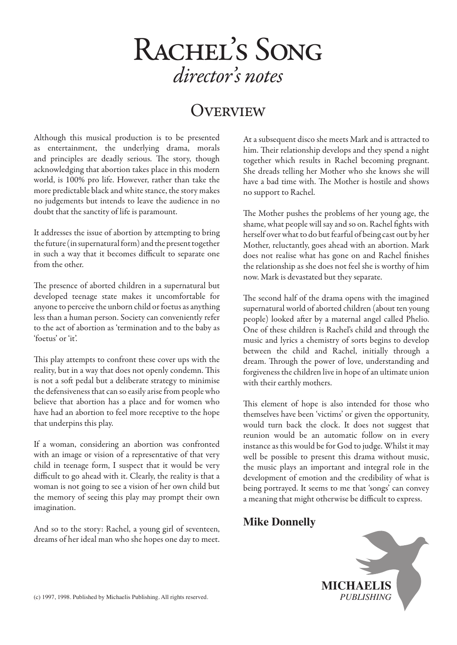# **OVERVIEW**

Although this musical production is to be presented as entertainment, the underlying drama, morals and principles are deadly serious. The story, though acknowledging that abortion takes place in this modern world, is 100% pro life. However, rather than take the more predictable black and white stance, the story makes no judgements but intends to leave the audience in no doubt that the sanctity of life is paramount.

It addresses the issue of abortion by attempting to bring the future (in supernatural form) and the present together in such a way that it becomes difficult to separate one from the other.

The presence of aborted children in a supernatural but developed teenage state makes it uncomfortable for anyone to perceive the unborn child or foetus as anything less than a human person. Society can conveniently refer to the act of abortion as 'termination and to the baby as 'foetus' or 'it'.

This play attempts to confront these cover ups with the reality, but in a way that does not openly condemn. This is not a soft pedal but a deliberate strategy to minimise the defensiveness that can so easily arise from people who believe that abortion has a place and for women who have had an abortion to feel more receptive to the hope that underpins this play.

If a woman, considering an abortion was confronted with an image or vision of a representative of that very child in teenage form, I suspect that it would be very difficult to go ahead with it. Clearly, the reality is that a woman is not going to see a vision of her own child but the memory of seeing this play may prompt their own imagination.

And so to the story: Rachel, a young girl of seventeen, dreams of her ideal man who she hopes one day to meet. At a subsequent disco she meets Mark and is attracted to him. Their relationship develops and they spend a night together which results in Rachel becoming pregnant. She dreads telling her Mother who she knows she will have a bad time with. The Mother is hostile and shows no support to Rachel.

The Mother pushes the problems of her young age, the shame, what people will say and so on. Rachel fights with herself over what to do but fearful of being cast out by her Mother, reluctantly, goes ahead with an abortion. Mark does not realise what has gone on and Rachel finishes the relationship as she does not feel she is worthy of him now. Mark is devastated but they separate.

The second half of the drama opens with the imagined supernatural world of aborted children (about ten young people) looked after by a maternal angel called Phelio. One of these children is Rachel's child and through the music and lyrics a chemistry of sorts begins to develop between the child and Rachel, initially through a dream. Through the power of love, understanding and forgiveness the children live in hope of an ultimate union with their earthly mothers.

This element of hope is also intended for those who themselves have been 'victims' or given the opportunity, would turn back the clock. It does not suggest that reunion would be an automatic follow on in every instance as this would be for God to judge. Whilst it may well be possible to present this drama without music, the music plays an important and integral role in the development of emotion and the credibility of what is being portrayed. It seems to me that 'songs' can convey a meaning that might otherwise be difficult to express.

#### **Mike Donnelly**



(c) 1997, 1998. Published by Michaelis Publishing. All rights reserved.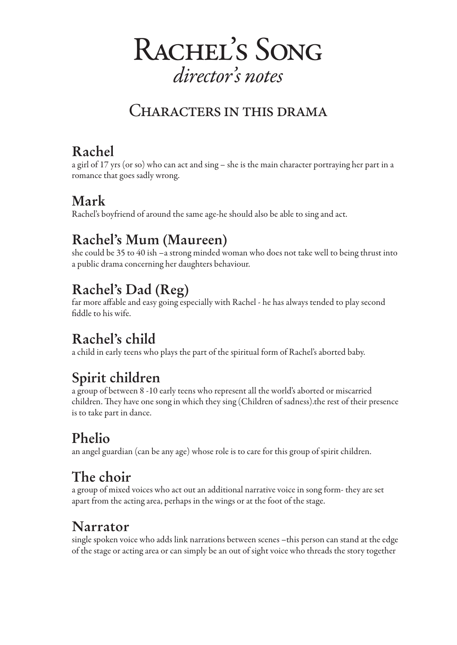

# CHARACTERS IN THIS DRAMA

# **Rachel**

a girl of 17 yrs (or so) who can act and sing – she is the main character portraying her part in a romance that goes sadly wrong.

## **Mark**

Rachel's boyfriend of around the same age-he should also be able to sing and act.

# **Rachel's Mum (Maureen)**

she could be 35 to 40 ish –a strong minded woman who does not take well to being thrust into a public drama concerning her daughters behaviour.

# **Rachel's Dad (Reg)**

far more affable and easy going especially with Rachel - he has always tended to play second fiddle to his wife.

# **Rachel's child**

a child in early teens who plays the part of the spiritual form of Rachel's aborted baby.

# **Spirit children**

a group of between 8 -10 early teens who represent all the world's aborted or miscarried children. They have one song in which they sing (Children of sadness).the rest of their presence is to take part in dance.

# **Phelio**

an angel guardian (can be any age) whose role is to care for this group of spirit children.

# **The choir**

a group of mixed voices who act out an additional narrative voice in song form- they are set apart from the acting area, perhaps in the wings or at the foot of the stage.

# **Narrator**

single spoken voice who adds link narrations between scenes –this person can stand at the edge of the stage or acting area or can simply be an out of sight voice who threads the story together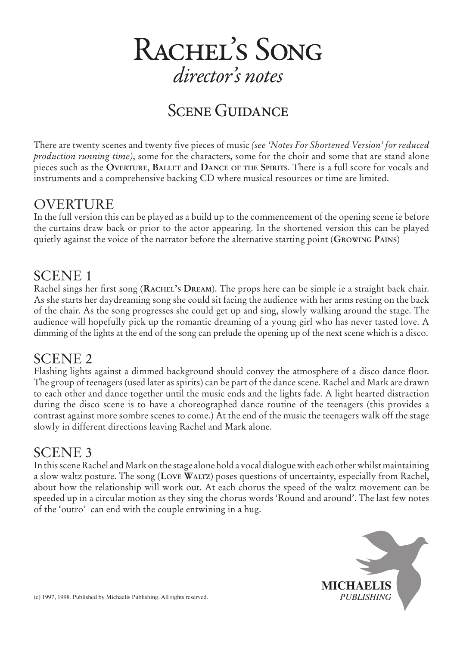

# SCENE GUIDANCE

There are twenty scenes and twenty five pieces of music *(see 'Notes For Shortened Version' for reduced production running time)*, some for the characters, some for the choir and some that are stand alone pieces such as the **Overture**, **Ballet** and **Dance of the Spirits**. There is a full score for vocals and instruments and a comprehensive backing CD where musical resources or time are limited.

### OVERTURE

In the full version this can be played as a build up to the commencement of the opening scene ie before the curtains draw back or prior to the actor appearing. In the shortened version this can be played quietly against the voice of the narrator before the alternative starting point (**Growing Pains**)

#### SCENE 1

Rachel sings her first song (**Rachel's Dream**). The props here can be simple ie a straight back chair. As she starts her daydreaming song she could sit facing the audience with her arms resting on the back of the chair. As the song progresses she could get up and sing, slowly walking around the stage. The audience will hopefully pick up the romantic dreaming of a young girl who has never tasted love. A dimming of the lights at the end of the song can prelude the opening up of the next scene which is a disco.

### SCENE 2

Flashing lights against a dimmed background should convey the atmosphere of a disco dance floor. The group of teenagers (used later as spirits) can be part of the dance scene. Rachel and Mark are drawn to each other and dance together until the music ends and the lights fade. A light hearted distraction during the disco scene is to have a choreographed dance routine of the teenagers (this provides a contrast against more sombre scenes to come.) At the end of the music the teenagers walk off the stage slowly in different directions leaving Rachel and Mark alone.

### SCENE 3

In this scene Rachel and Mark on the stage alone hold a vocal dialogue with each other whilst maintaining a slow waltz posture. The song (**Love Waltz**) poses questions of uncertainty, especially from Rachel, about how the relationship will work out. At each chorus the speed of the waltz movement can be speeded up in a circular motion as they sing the chorus words 'Round and around'. The last few notes of the 'outro' can end with the couple entwining in a hug.

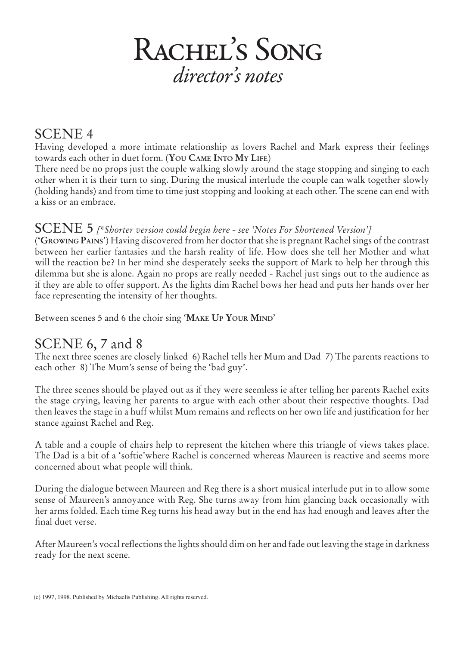### SCENE 4

Having developed a more intimate relationship as lovers Rachel and Mark express their feelings towards each other in duet form. (**You Came Into My Life**)

There need be no props just the couple walking slowly around the stage stopping and singing to each other when it is their turn to sing. During the musical interlude the couple can walk together slowly (holding hands) and from time to time just stopping and looking at each other. The scene can end with a kiss or an embrace.

#### SCENE 5 *[\*Shorter version could begin here - see 'Notes For Shortened Version']*

(**'Growing Pains**') Having discovered from her doctor that she is pregnant Rachel sings of the contrast between her earlier fantasies and the harsh reality of life. How does she tell her Mother and what will the reaction be? In her mind she desperately seeks the support of Mark to help her through this dilemma but she is alone. Again no props are really needed - Rachel just sings out to the audience as if they are able to offer support. As the lights dim Rachel bows her head and puts her hands over her face representing the intensity of her thoughts.

Between scenes 5 and 6 the choir sing '**Make Up Your Mind**'

### SCENE 6, 7 and 8

The next three scenes are closely linked 6) Rachel tells her Mum and Dad 7) The parents reactions to each other 8) The Mum's sense of being the 'bad guy'.

The three scenes should be played out as if they were seemless ie after telling her parents Rachel exits the stage crying, leaving her parents to argue with each other about their respective thoughts. Dad then leaves the stage in a huff whilst Mum remains and reflects on her own life and justification for her stance against Rachel and Reg.

A table and a couple of chairs help to represent the kitchen where this triangle of views takes place. The Dad is a bit of a 'softie'where Rachel is concerned whereas Maureen is reactive and seems more concerned about what people will think.

During the dialogue between Maureen and Reg there is a short musical interlude put in to allow some sense of Maureen's annoyance with Reg. She turns away from him glancing back occasionally with her arms folded. Each time Reg turns his head away but in the end has had enough and leaves after the final duet verse.

After Maureen's vocal reflections the lights should dim on her and fade out leaving the stage in darkness ready for the next scene.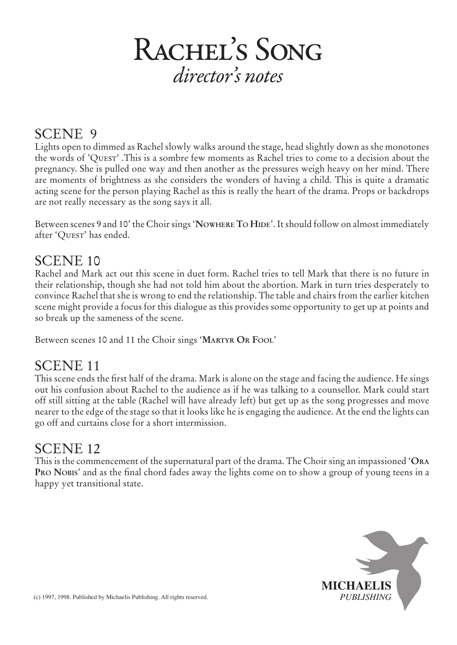## SCENE 9

Lights open to dimmed as Rachel slowly walks around the stage, head slightly down as she monotones the words of 'Quest' .This is a sombre few moments as Rachel tries to come to a decision about the pregnancy. She is pulled one way and then another as the pressures weigh heavy on her mind. There are moments of brightness as she considers the wonders of having a child. This is quite a dramatic acting scene for the person playing Rachel as this is really the heart of the drama. Props or backdrops are not really necessary as the song says it all.

Between scenes 9 and 10' the Choir sings 'Nowhere To HIDE'. It should follow on almost immediately after 'Quest' has ended.

### SCENE 10

Rachel and Mark act out this scene in duet form. Rachel tries to tell Mark that there is no future in their relationship, though she had not told him about the abortion. Mark in turn tries desperately to convince Rachel that she is wrong to end the relationship. The table and chairs from the earlier kitchen scene might provide a focus for this dialogue as this provides some opportunity to get up at points and so break up the sameness of the scene.

Between scenes 10 and 11 the Choir sings '**Martyr Or Fool**'

## SCENE 11

This scene ends the first half of the drama. Mark is alone on the stage and facing the audience. He sings out his confusion about Rachel to the audience as if he was talking to a counsellor. Mark could start off still sitting at the table (Rachel will have already left) but get up as the song progresses and move nearer to the edge of the stage so that it looks like he is engaging the audience. At the end the lights can go off and curtains close for a short intermission.

### SCENE 12

This is the commencement of the supernatural part of the drama. The Choir sing an impassioned '**Ora Pro Nobis**' and as the final chord fades away the lights come on to show a group of young teens in a happy yet transitional state.

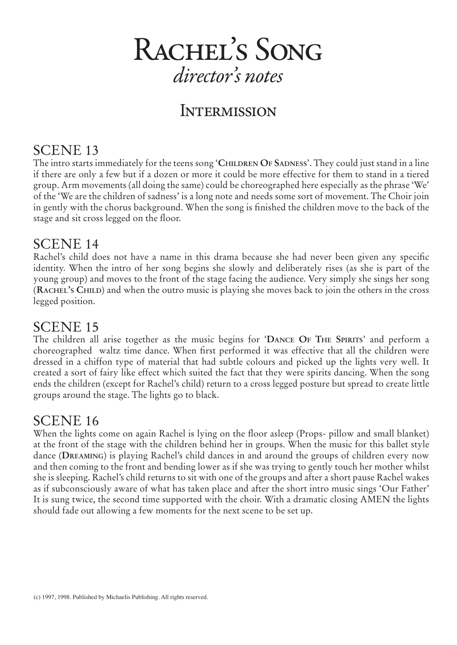## **INTERMISSION**

## SCENE 13

The intro starts immediately for the teens song 'CHILDREN OF SADNESS'. They could just stand in a line if there are only a few but if a dozen or more it could be more effective for them to stand in a tiered group. Arm movements (all doing the same) could be choreographed here especially as the phrase 'We' of the 'We are the children of sadness' is a long note and needs some sort of movement. The Choir join in gently with the chorus background. When the song is finished the children move to the back of the stage and sit cross legged on the floor.

#### SCENE 14

Rachel's child does not have a name in this drama because she had never been given any specific identity. When the intro of her song begins she slowly and deliberately rises (as she is part of the young group) and moves to the front of the stage facing the audience. Very simply she sings her song (**Rachel's Child**) and when the outro music is playing she moves back to join the others in the cross legged position.

#### SCENE 15

The children all arise together as the music begins for '**Dance Of The Spirits**' and perform a choreographed waltz time dance. When first performed it was effective that all the children were dressed in a chiffon type of material that had subtle colours and picked up the lights very well. It created a sort of fairy like effect which suited the fact that they were spirits dancing. When the song ends the children (except for Rachel's child) return to a cross legged posture but spread to create little groups around the stage. The lights go to black.

### SCENE 16

When the lights come on again Rachel is lying on the floor asleep (Props- pillow and small blanket) at the front of the stage with the children behind her in groups. When the music for this ballet style dance (**Dreaming**) is playing Rachel's child dances in and around the groups of children every now and then coming to the front and bending lower as if she was trying to gently touch her mother whilst she is sleeping. Rachel's child returns to sit with one of the groups and after a short pause Rachel wakes as if subconsciously aware of what has taken place and after the short intro music sings 'Our Father' It is sung twice, the second time supported with the choir. With a dramatic closing AMEN the lights should fade out allowing a few moments for the next scene to be set up.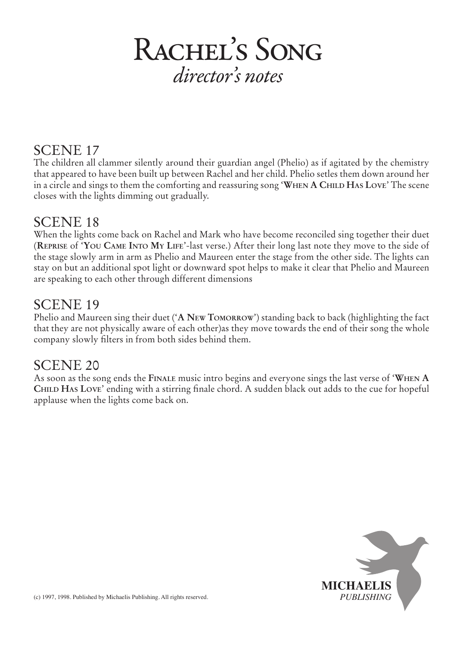### SCENE 17

The children all clammer silently around their guardian angel (Phelio) as if agitated by the chemistry that appeared to have been built up between Rachel and her child. Phelio setles them down around her in a circle and sings to them the comforting and reassuring song '**When A Child Has Love**' The scene closes with the lights dimming out gradually.

#### SCENE 18

When the lights come back on Rachel and Mark who have become reconciled sing together their duet (**Reprise** of '**You Came Into My Life**'-last verse.) After their long last note they move to the side of the stage slowly arm in arm as Phelio and Maureen enter the stage from the other side. The lights can stay on but an additional spot light or downward spot helps to make it clear that Phelio and Maureen are speaking to each other through different dimensions

### SCENE 19

Phelio and Maureen sing their duet ('**A New Tomorrow**') standing back to back (highlighting the fact that they are not physically aware of each other)as they move towards the end of their song the whole company slowly filters in from both sides behind them.

## SCENE 20

As soon as the song ends the **Finale** music intro begins and everyone sings the last verse of '**When A Child Has Love**' ending with a stirring finale chord. A sudden black out adds to the cue for hopeful applause when the lights come back on.

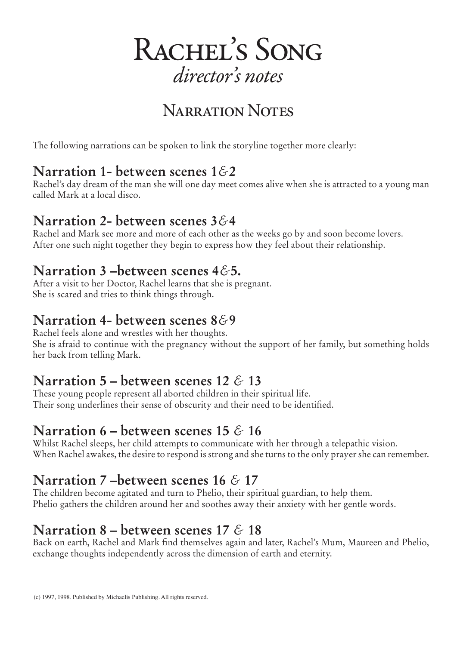

# Narration Notes

The following narrations can be spoken to link the storyline together more clearly:

### **Narration 1- between scenes 1***&***2**

Rachel's day dream of the man she will one day meet comes alive when she is attracted to a young man called Mark at a local disco.

### **Narration 2- between scenes 3***&***4**

Rachel and Mark see more and more of each other as the weeks go by and soon become lovers. After one such night together they begin to express how they feel about their relationship.

### **Narration 3 –between scenes 4***&***5.**

After a visit to her Doctor, Rachel learns that she is pregnant. She is scared and tries to think things through.

## **Narration 4- between scenes 8***&***9**

Rachel feels alone and wrestles with her thoughts. She is afraid to continue with the pregnancy without the support of her family, but something holds her back from telling Mark.

## **Narration 5 – between scenes 12** *&* **13**

These young people represent all aborted children in their spiritual life. Their song underlines their sense of obscurity and their need to be identified.

## **Narration 6 – between scenes 15** *&* **16**

Whilst Rachel sleeps, her child attempts to communicate with her through a telepathic vision. When Rachel awakes, the desire to respond is strong and she turns to the only prayer she can remember.

# **Narration 7 –between scenes 16** *&* **17**

The children become agitated and turn to Phelio, their spiritual guardian, to help them. Phelio gathers the children around her and soothes away their anxiety with her gentle words.

## **Narration 8 – between scenes 17** *&* **18**

Back on earth, Rachel and Mark find themselves again and later, Rachel's Mum, Maureen and Phelio, exchange thoughts independently across the dimension of earth and eternity.